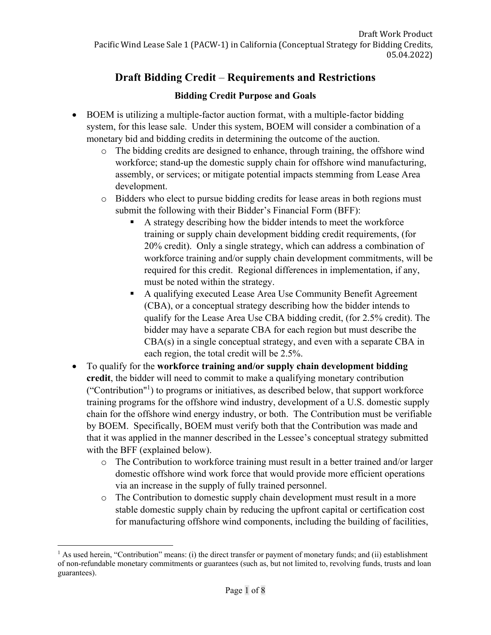# **Draft Bidding Credit** – **Requirements and Restrictions**

#### **Bidding Credit Purpose and Goals**

- BOEM is utilizing a multiple-factor auction format, with a multiple-factor bidding system, for this lease sale. Under this system, BOEM will consider a combination of a monetary bid and bidding credits in determining the outcome of the auction.
	- o The bidding credits are designed to enhance, through training, the offshore wind workforce; stand-up the domestic supply chain for offshore wind manufacturing, assembly, or services; or mitigate potential impacts stemming from Lease Area development.
	- o Bidders who elect to pursue bidding credits for lease areas in both regions must submit the following with their Bidder's Financial Form (BFF):
		- A strategy describing how the bidder intends to meet the workforce training or supply chain development bidding credit requirements, (for 20% credit). Only a single strategy, which can address a combination of workforce training and/or supply chain development commitments, will be required for this credit. Regional differences in implementation, if any, must be noted within the strategy.
		- A qualifying executed Lease Area Use Community Benefit Agreement (CBA), or a conceptual strategy describing how the bidder intends to qualify for the Lease Area Use CBA bidding credit, (for 2.5% credit). The bidder may have a separate CBA for each region but must describe the CBA(s) in a single conceptual strategy, and even with a separate CBA in each region, the total credit will be 2.5%.
- To qualify for the **workforce training and/or supply chain development bidding credit**, the bidder will need to commit to make a qualifying monetary contribution ("Contribution"<sup>1</sup> ) to programs or initiatives, as described below, that support workforce training programs for the offshore wind industry, development of a U.S. domestic supply chain for the offshore wind energy industry, or both. The Contribution must be verifiable by BOEM. Specifically, BOEM must verify both that the Contribution was made and that it was applied in the manner described in the Lessee's conceptual strategy submitted with the BFF (explained below).
	- o The Contribution to workforce training must result in a better trained and/or larger domestic offshore wind work force that would provide more efficient operations via an increase in the supply of fully trained personnel.
	- o The Contribution to domestic supply chain development must result in a more stable domestic supply chain by reducing the upfront capital or certification cost for manufacturing offshore wind components, including the building of facilities,

 $<sup>1</sup>$  As used herein, "Contribution" means: (i) the direct transfer or payment of monetary funds; and (ii) establishment</sup> of non-refundable monetary commitments or guarantees (such as, but not limited to, revolving funds, trusts and loan guarantees).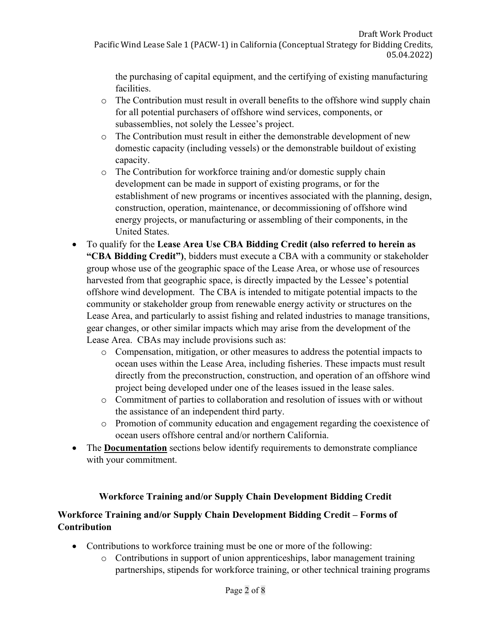the purchasing of capital equipment, and the certifying of existing manufacturing facilities.

- o The Contribution must result in overall benefits to the offshore wind supply chain for all potential purchasers of offshore wind services, components, or subassemblies, not solely the Lessee's project.
- o The Contribution must result in either the demonstrable development of new domestic capacity (including vessels) or the demonstrable buildout of existing capacity.
- o The Contribution for workforce training and/or domestic supply chain development can be made in support of existing programs, or for the establishment of new programs or incentives associated with the planning, design, construction, operation, maintenance, or decommissioning of offshore wind energy projects, or manufacturing or assembling of their components, in the United States.
- To qualify for the **Lease Area Use CBA Bidding Credit (also referred to herein as "CBA Bidding Credit")**, bidders must execute a CBA with a community or stakeholder group whose use of the geographic space of the Lease Area, or whose use of resources harvested from that geographic space, is directly impacted by the Lessee's potential offshore wind development. The CBA is intended to mitigate potential impacts to the community or stakeholder group from renewable energy activity or structures on the Lease Area, and particularly to assist fishing and related industries to manage transitions, gear changes, or other similar impacts which may arise from the development of the Lease Area. CBAs may include provisions such as:
	- o Compensation, mitigation, or other measures to address the potential impacts to ocean uses within the Lease Area, including fisheries. These impacts must result directly from the preconstruction, construction, and operation of an offshore wind project being developed under one of the leases issued in the lease sales.
	- o Commitment of parties to collaboration and resolution of issues with or without the assistance of an independent third party.
	- o Promotion of community education and engagement regarding the coexistence of ocean users offshore central and/or northern California.
- The **Documentation** sections below identify requirements to demonstrate compliance with your commitment.

#### **Workforce Training and/or Supply Chain Development Bidding Credit**

#### **Workforce Training and/or Supply Chain Development Bidding Credit – Forms of Contribution**

- Contributions to workforce training must be one or more of the following:
	- o Contributions in support of union apprenticeships, labor management training partnerships, stipends for workforce training, or other technical training programs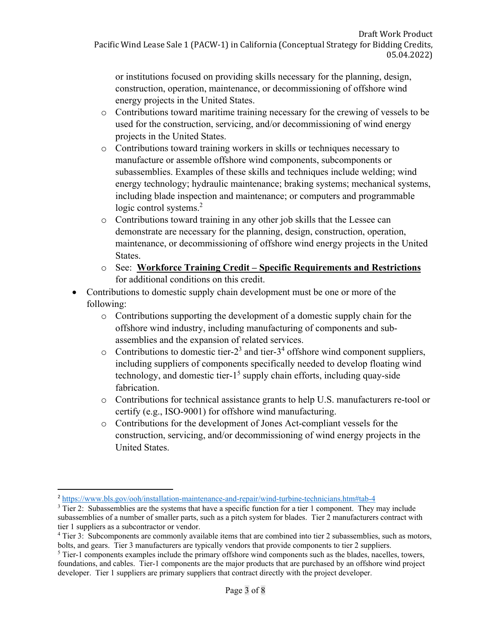or institutions focused on providing skills necessary for the planning, design, construction, operation, maintenance, or decommissioning of offshore wind energy projects in the United States.

- o Contributions toward maritime training necessary for the crewing of vessels to be used for the construction, servicing, and/or decommissioning of wind energy projects in the United States.
- o Contributions toward training workers in skills or techniques necessary to manufacture or assemble offshore wind components, subcomponents or subassemblies. Examples of these skills and techniques include welding; wind energy technology; hydraulic maintenance; braking systems; mechanical systems, including blade inspection and maintenance; or computers and programmable logic control systems.<sup>2</sup>
- o Contributions toward training in any other job skills that the Lessee can demonstrate are necessary for the planning, design, construction, operation, maintenance, or decommissioning of offshore wind energy projects in the United States.
- o See: **Workforce Training Credit Specific Requirements and Restrictions**  for additional conditions on this credit.
- Contributions to domestic supply chain development must be one or more of the following:
	- o Contributions supporting the development of a domestic supply chain for the offshore wind industry, including manufacturing of components and subassemblies and the expansion of related services.
	- $\circ$  Contributions to domestic tier-2<sup>3</sup> and tier-3<sup>4</sup> offshore wind component suppliers, including suppliers of components specifically needed to develop floating wind technology, and domestic tier- $1<sup>5</sup>$  supply chain efforts, including quay-side fabrication.
	- o Contributions for technical assistance grants to help U.S. manufacturers re-tool or certify (e.g., ISO-9001) for offshore wind manufacturing.
	- o Contributions for the development of Jones Act-compliant vessels for the construction, servicing, and/or decommissioning of wind energy projects in the United States.

<sup>&</sup>lt;sup>2</sup> <https://www.bls.gov/ooh/installation-maintenance-and-repair/wind-turbine-technicians.htm#tab-4>

 subassemblies of a number of smaller parts, such as a pitch system for blades. Tier 2 manufacturers contract with <sup>3</sup> Tier 2: Subassemblies are the systems that have a specific function for a tier 1 component. They may include tier 1 suppliers as a subcontractor or vendor.

<sup>&</sup>lt;sup>4</sup> Tier 3: Subcomponents are commonly available items that are combined into tier 2 subassemblies, such as motors, bolts, and gears. Tier 3 manufacturers are typically vendors that provide components to tier 2 suppliers. 5

 foundations, and cables. Tier-1 components are the major products that are purchased by an offshore wind project developer. Tier 1 suppliers are primary suppliers that contract directly with the project developer.  $5$  Tier-1 components examples include the primary offshore wind components such as the blades, nacelles, towers,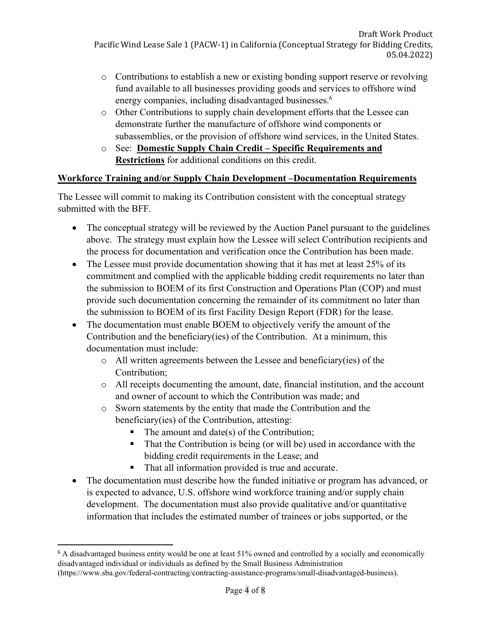- energy companies, including disadvantaged businesses.<sup>6</sup> o Contributions to establish a new or existing bonding support reserve or revolving fund available to all businesses providing goods and services to offshore wind
- o Other Contributions to supply chain development efforts that the Lessee can demonstrate further the manufacture of offshore wind components or subassemblies, or the provision of offshore wind services, in the United States.
- o See: **Domestic Supply Chain Credit Specific Requirements and Restrictions** for additional conditions on this credit.

#### **Workforce Training and/or Supply Chain Development –Documentation Requirements**

The Lessee will commit to making its Contribution consistent with the conceptual strategy submitted with the BFF.

- The conceptual strategy will be reviewed by the Auction Panel pursuant to the guidelines above. The strategy must explain how the Lessee will select Contribution recipients and the process for documentation and verification once the Contribution has been made.
- The Lessee must provide documentation showing that it has met at least 25% of its commitment and complied with the applicable bidding credit requirements no later than the submission to BOEM of its first Construction and Operations Plan (COP) and must provide such documentation concerning the remainder of its commitment no later than the submission to BOEM of its first Facility Design Report (FDR) for the lease.
- The documentation must enable BOEM to objectively verify the amount of the Contribution and the beneficiary(ies) of the Contribution. At a minimum, this documentation must include:
	- o All written agreements between the Lessee and beneficiary(ies) of the Contribution;
	- o All receipts documenting the amount, date, financial institution, and the account and owner of account to which the Contribution was made; and
	- o Sworn statements by the entity that made the Contribution and the beneficiary(ies) of the Contribution, attesting:
		- The amount and date(s) of the Contribution;
		- That the Contribution is being (or will be) used in accordance with the bidding credit requirements in the Lease; and
		- That all information provided is true and accurate.
- The documentation must describe how the funded initiative or program has advanced, or is expected to advance, U.S. offshore wind workforce training and/or supply chain development. The documentation must also provide qualitative and/or quantitative information that includes the estimated number of trainees or jobs supported, or the

 disadvantaged individual or individuals as defined by the Small Business Administration <sup>6</sup> A disadvantaged business entity would be one at least 51% owned and controlled by a socially and economically [\(https://www.sba.gov/federal-contracting/contracting-assistance-programs/small-disadvantaged-business](https://www.sba.gov/federal-contracting/contracting-assistance-programs/small-disadvantaged-business)).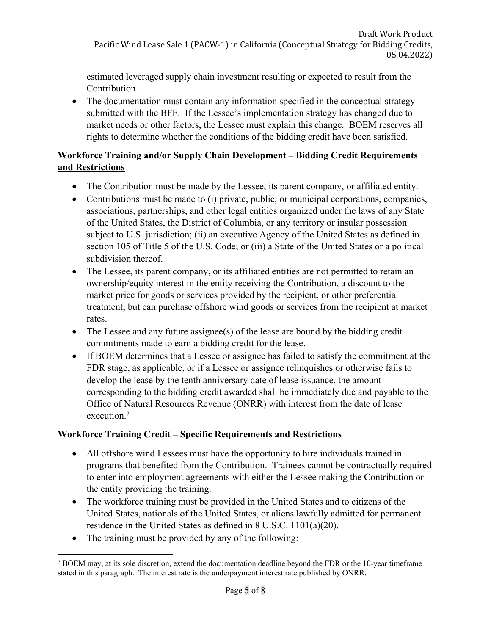estimated leveraged supply chain investment resulting or expected to result from the Contribution.

• The documentation must contain any information specified in the conceptual strategy submitted with the BFF. If the Lessee's implementation strategy has changed due to market needs or other factors, the Lessee must explain this change. BOEM reserves all rights to determine whether the conditions of the bidding credit have been satisfied.

## **Workforce Training and/or Supply Chain Development – Bidding Credit Requirements and Restrictions**

- The Contribution must be made by the Lessee, its parent company, or affiliated entity.
- Contributions must be made to (i) private, public, or municipal corporations, companies, associations, partnerships, and other legal entities organized under the laws of any State of the United States, the District of Columbia, or any territory or insular possession subject to U.S. jurisdiction; (ii) an executive Agency of the United States as defined in section 105 of Title 5 of the U.S. Code; or (iii) a State of the United States or a political subdivision thereof.
- The Lessee, its parent company, or its affiliated entities are not permitted to retain an ownership/equity interest in the entity receiving the Contribution, a discount to the market price for goods or services provided by the recipient, or other preferential treatment, but can purchase offshore wind goods or services from the recipient at market rates.
- The Lessee and any future assignee(s) of the lease are bound by the bidding credit commitments made to earn a bidding credit for the lease.
- execution.<sup>7</sup> If BOEM determines that a Lessee or assignee has failed to satisfy the commitment at the FDR stage, as applicable, or if a Lessee or assignee relinquishes or otherwise fails to develop the lease by the tenth anniversary date of lease issuance, the amount corresponding to the bidding credit awarded shall be immediately due and payable to the Office of Natural Resources Revenue (ONRR) with interest from the date of lease

## **Workforce Training Credit – Specific Requirements and Restrictions**

- All offshore wind Lessees must have the opportunity to hire individuals trained in programs that benefited from the Contribution. Trainees cannot be contractually required to enter into employment agreements with either the Lessee making the Contribution or the entity providing the training.
- The workforce training must be provided in the United States and to citizens of the United States, nationals of the United States, or aliens lawfully admitted for permanent residence in the United States as defined in 8 U.S.C. 1101(a)(20).
- The training must be provided by any of the following:

 stated in this paragraph. The interest rate is the underpayment interest rate published by ONRR.  $7$  BOEM may, at its sole discretion, extend the documentation deadline beyond the FDR or the 10-year timeframe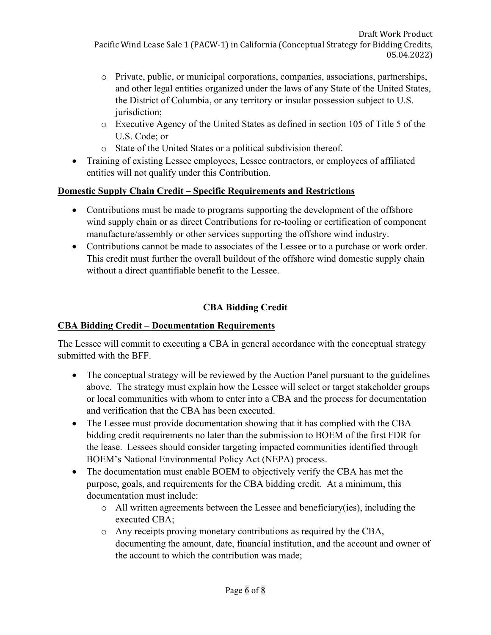- o Private, public, or municipal corporations, companies, associations, partnerships, and other legal entities organized under the laws of any State of the United States, the District of Columbia, or any territory or insular possession subject to U.S. jurisdiction;
- o Executive Agency of the United States as defined in section 105 of Title 5 of the U.S. Code; or
- o State of the United States or a political subdivision thereof.
- Training of existing Lessee employees, Lessee contractors, or employees of affiliated entities will not qualify under this Contribution.

## **Domestic Supply Chain Credit – Specific Requirements and Restrictions**

- Contributions must be made to programs supporting the development of the offshore wind supply chain or as direct Contributions for re-tooling or certification of component manufacture/assembly or other services supporting the offshore wind industry.
- Contributions cannot be made to associates of the Lessee or to a purchase or work order. This credit must further the overall buildout of the offshore wind domestic supply chain without a direct quantifiable benefit to the Lessee.

# **CBA Bidding Credit**

## **CBA Bidding Credit – Documentation Requirements**

The Lessee will commit to executing a CBA in general accordance with the conceptual strategy submitted with the BFF.

- The conceptual strategy will be reviewed by the Auction Panel pursuant to the guidelines above. The strategy must explain how the Lessee will select or target stakeholder groups or local communities with whom to enter into a CBA and the process for documentation and verification that the CBA has been executed.
- The Lessee must provide documentation showing that it has complied with the CBA bidding credit requirements no later than the submission to BOEM of the first FDR for the lease. Lessees should consider targeting impacted communities identified through BOEM's National Environmental Policy Act (NEPA) process.
- The documentation must enable BOEM to objectively verify the CBA has met the purpose, goals, and requirements for the CBA bidding credit. At a minimum, this documentation must include:
	- $\circ$  All written agreements between the Lessee and beneficiary(ies), including the executed CBA;
	- o Any receipts proving monetary contributions as required by the CBA, documenting the amount, date, financial institution, and the account and owner of the account to which the contribution was made;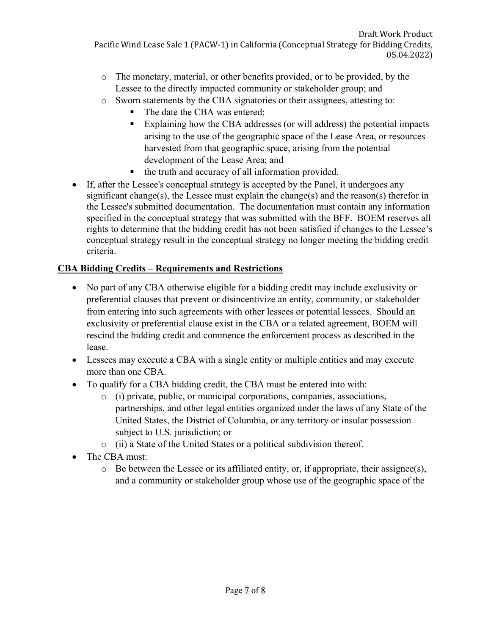- o The monetary, material, or other benefits provided, or to be provided, by the Lessee to the directly impacted community or stakeholder group; and
- o Sworn statements by the CBA signatories or their assignees, attesting to:
	- The date the CBA was entered;
	- Explaining how the CBA addresses (or will address) the potential impacts arising to the use of the geographic space of the Lease Area, or resources harvested from that geographic space, arising from the potential development of the Lease Area; and
	- the truth and accuracy of all information provided.
- If, after the Lessee's conceptual strategy is accepted by the Panel, it undergoes any significant change(s), the Lessee must explain the change(s) and the reason(s) therefor in the Lessee's submitted documentation. The documentation must contain any information specified in the conceptual strategy that was submitted with the BFF. BOEM reserves all rights to determine that the bidding credit has not been satisfied if changes to the Lessee's conceptual strategy result in the conceptual strategy no longer meeting the bidding credit criteria.

# **CBA Bidding Credits – Requirements and Restrictions**

- No part of any CBA otherwise eligible for a bidding credit may include exclusivity or preferential clauses that prevent or disincentivize an entity, community, or stakeholder from entering into such agreements with other lessees or potential lessees. Should an exclusivity or preferential clause exist in the CBA or a related agreement, BOEM will rescind the bidding credit and commence the enforcement process as described in the lease.
- Lessees may execute a CBA with a single entity or multiple entities and may execute more than one CBA.
- To qualify for a CBA bidding credit, the CBA must be entered into with:
	- o (i) private, public, or municipal corporations, companies, associations, partnerships, and other legal entities organized under the laws of any State of the United States, the District of Columbia, or any territory or insular possession subject to U.S. jurisdiction; or
	- o (ii) a State of the United States or a political subdivision thereof.
- The CBA must:
	- $\circ$  Be between the Lessee or its affiliated entity, or, if appropriate, their assignee(s), and a community or stakeholder group whose use of the geographic space of the